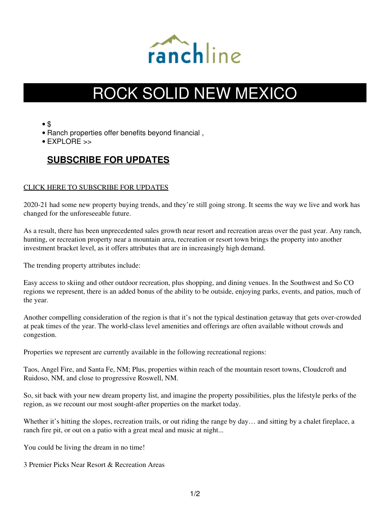

# ROCK SOLID NEW MEXICO

• \$

- Ranch properties offer benefits beyond financial ,
- $\bullet$  FXPI ORF  $\gt$

# **[SUBSCRIBE FOR UPDATES](https://8e8nb6gm.pages.infusionsoft.net/)**

### [CLICK HERE TO SUBSCRIBE FOR UPDATES](https://8e8nb6gm.pages.infusionsoft.net/)

2020-21 had some new property buying trends, and they're still going strong. It seems the way we live and work has changed for the unforeseeable future.

As a result, there has been unprecedented sales growth near resort and recreation areas over the past year. Any ranch, hunting, or recreation property near a mountain area, recreation or resort town brings the property into another investment bracket level, as it offers attributes that are in increasingly high demand.

The trending property attributes include:

Easy access to skiing and other outdoor recreation, plus shopping, and dining venues. In the Southwest and So CO regions we represent, there is an added bonus of the ability to be outside, enjoying parks, events, and patios, much of the year.

Another compelling consideration of the region is that it's not the typical destination getaway that gets over-crowded at peak times of the year. The world-class level amenities and offerings are often available without crowds and congestion.

Properties we represent are currently available in the following recreational regions:

Taos, Angel Fire, and Santa Fe, NM; Plus, properties within reach of the mountain resort towns, Cloudcroft and Ruidoso, NM, and close to progressive Roswell, NM.

So, sit back with your new dream property list, and imagine the property possibilities, plus the lifestyle perks of the region, as we recount our most sought-after properties on the market today.

Whether it's hitting the slopes, recreation trails, or out riding the range by day... and sitting by a chalet fireplace, a ranch fire pit, or out on a patio with a great meal and music at night...

You could be living the dream in no time!

3 Premier Picks Near Resort & Recreation Areas